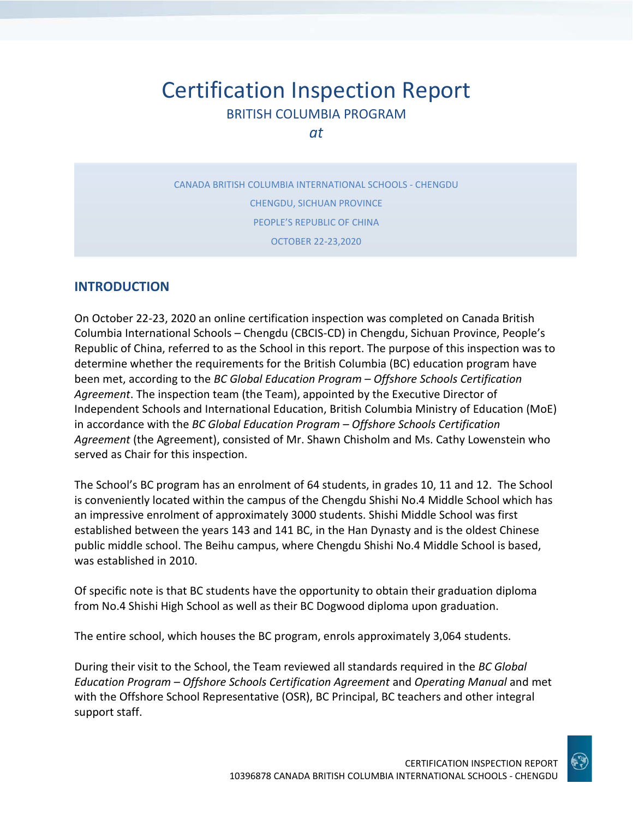# Certification Inspection Report BRITISH COLUMBIA PROGRAM

*at*

CANADA BRITISH COLUMBIA INTERNATIONAL SCHOOLS - CHENGDU CHENGDU, SICHUAN PROVINCE PEOPLE'S REPUBLIC OF CHINA OCTOBER 22-23,2020

# **INTRODUCTION**

On October 22-23, 2020 an online certification inspection was completed on Canada British Columbia International Schools – Chengdu (CBCIS-CD) in Chengdu, Sichuan Province, People's Republic of China, referred to as the School in this report. The purpose of this inspection was to determine whether the requirements for the British Columbia (BC) education program have been met, according to the *BC Global Education Program – Offshore Schools Certification Agreement*. The inspection team (the Team), appointed by the Executive Director of Independent Schools and International Education, British Columbia Ministry of Education (MoE) in accordance with the *BC Global Education Program – Offshore Schools Certification Agreement* (the Agreement), consisted of Mr. Shawn Chisholm and Ms. Cathy Lowenstein who served as Chair for this inspection.

The School's BC program has an enrolment of 64 students, in grades 10, 11 and 12. The School is conveniently located within the campus of the Chengdu Shishi No.4 Middle School which has an impressive enrolment of approximately 3000 students. Shishi Middle School was first established between the years 143 and 141 BC, in the Han Dynasty and is the oldest Chinese public middle school. The Beihu campus, where Chengdu Shishi No.4 Middle School is based, was established in 2010.

Of specific note is that BC students have the opportunity to obtain their graduation diploma from No.4 Shishi High School as well as their BC Dogwood diploma upon graduation.

The entire school, which houses the BC program, enrols approximately 3,064 students.

During their visit to the School, the Team reviewed all standards required in the *BC Global Education Program – Offshore Schools Certification Agreement* and *Operating Manual* and met with the Offshore School Representative (OSR), BC Principal, BC teachers and other integral support staff.

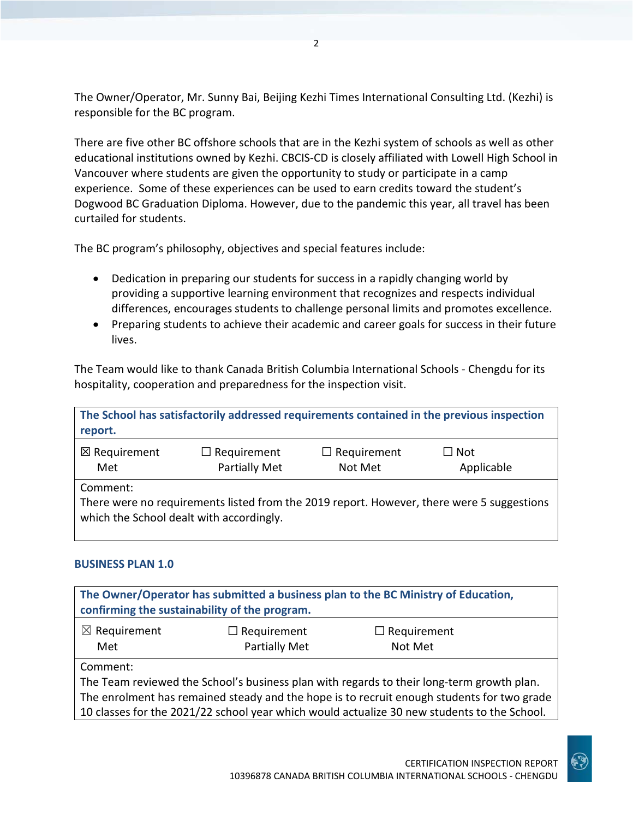The Owner/Operator, Mr. Sunny Bai, Beijing Kezhi Times International Consulting Ltd. (Kezhi) is responsible for the BC program.

There are five other BC offshore schools that are in the Kezhi system of schools as well as other educational institutions owned by Kezhi. CBCIS-CD is closely affiliated with Lowell High School in Vancouver where students are given the opportunity to study or participate in a camp experience. Some of these experiences can be used to earn credits toward the student's Dogwood BC Graduation Diploma. However, due to the pandemic this year, all travel has been curtailed for students.

The BC program's philosophy, objectives and special features include:

- Dedication in preparing our students for success in a rapidly changing world by providing a supportive learning environment that recognizes and respects individual differences, encourages students to challenge personal limits and promotes excellence.
- Preparing students to achieve their academic and career goals for success in their future lives.

The Team would like to thank Canada British Columbia International Schools - Chengdu for its hospitality, cooperation and preparedness for the inspection visit.

| report.                        |                                            |                               | The School has satisfactorily addressed requirements contained in the previous inspection |
|--------------------------------|--------------------------------------------|-------------------------------|-------------------------------------------------------------------------------------------|
| $\boxtimes$ Requirement<br>Met | $\Box$ Requirement<br><b>Partially Met</b> | $\Box$ Requirement<br>Not Met | $\square$ Not<br>Applicable                                                               |
| Comment:                       | which the School dealt with accordingly.   |                               | There were no requirements listed from the 2019 report. However, there were 5 suggestions |

## **BUSINESS PLAN 1.0**

| The Owner/Operator has submitted a business plan to the BC Ministry of Education,<br>confirming the sustainability of the program. |                                            |                                                                                             |  |
|------------------------------------------------------------------------------------------------------------------------------------|--------------------------------------------|---------------------------------------------------------------------------------------------|--|
| $\boxtimes$ Requirement<br>Met                                                                                                     | $\Box$ Requirement<br><b>Partially Met</b> | $\Box$ Requirement<br>Not Met                                                               |  |
| Comment:                                                                                                                           |                                            |                                                                                             |  |
| The Team reviewed the School's business plan with regards to their long-term growth plan.                                          |                                            |                                                                                             |  |
| The enrolment has remained steady and the hope is to recruit enough students for two grade                                         |                                            |                                                                                             |  |
|                                                                                                                                    |                                            | 10 classes for the 2021/22 school year which would actualize 30 new students to the School. |  |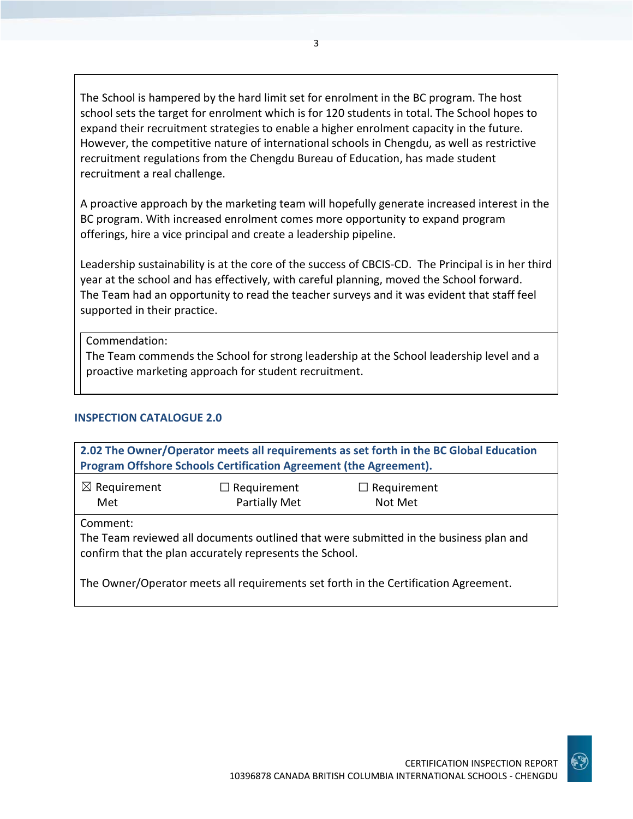The School is hampered by the hard limit set for enrolment in the BC program. The host school sets the target for enrolment which is for 120 students in total. The School hopes to expand their recruitment strategies to enable a higher enrolment capacity in the future. However, the competitive nature of international schools in Chengdu, as well as restrictive recruitment regulations from the Chengdu Bureau of Education, has made student recruitment a real challenge.

3

A proactive approach by the marketing team will hopefully generate increased interest in the BC program. With increased enrolment comes more opportunity to expand program offerings, hire a vice principal and create a leadership pipeline.

Leadership sustainability is at the core of the success of CBCIS-CD. The Principal is in her third year at the school and has effectively, with careful planning, moved the School forward. The Team had an opportunity to read the teacher surveys and it was evident that staff feel supported in their practice.

Commendation:

The Team commends the School for strong leadership at the School leadership level and a proactive marketing approach for student recruitment.

## **INSPECTION CATALOGUE 2.0**

| 2.02 The Owner/Operator meets all requirements as set forth in the BC Global Education                                                                       |                    |                                                                                     |  |
|--------------------------------------------------------------------------------------------------------------------------------------------------------------|--------------------|-------------------------------------------------------------------------------------|--|
| Program Offshore Schools Certification Agreement (the Agreement).                                                                                            |                    |                                                                                     |  |
| $\boxtimes$ Requirement                                                                                                                                      | $\Box$ Requirement | $\Box$ Requirement                                                                  |  |
| Met                                                                                                                                                          | Partially Met      | Not Met                                                                             |  |
| Comment:<br>The Team reviewed all documents outlined that were submitted in the business plan and<br>confirm that the plan accurately represents the School. |                    |                                                                                     |  |
|                                                                                                                                                              |                    | The Owner/Operator meets all requirements set forth in the Certification Agreement. |  |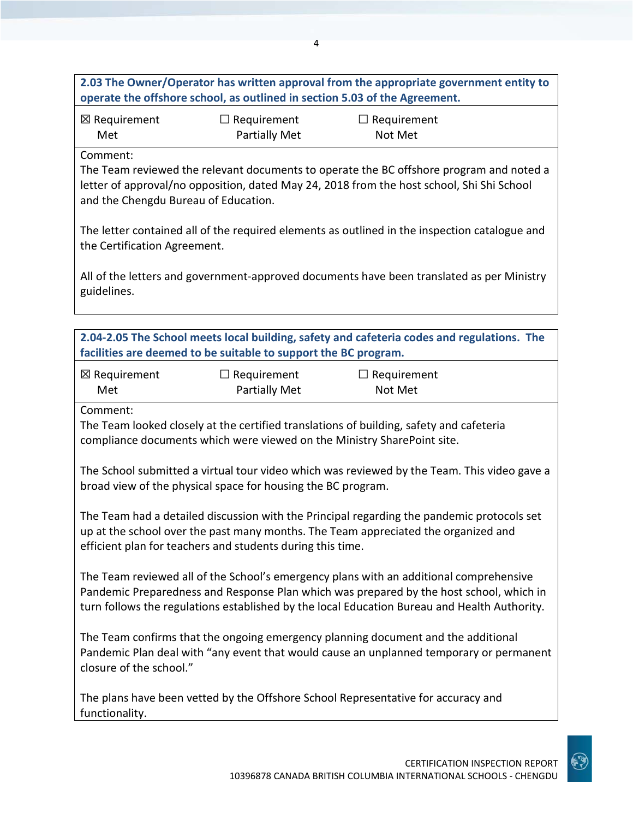**2.03 The Owner/Operator has written approval from the appropriate government entity to operate the offshore school, as outlined in section 5.03 of the Agreement.**

| ⊠ Requirement | $\Box$ Requirement   | $\Box$ Requirement |
|---------------|----------------------|--------------------|
| Met           | <b>Partially Met</b> | Not Met            |

Comment:

The Team reviewed the relevant documents to operate the BC offshore program and noted a letter of approval/no opposition, dated May 24, 2018 from the host school, Shi Shi School and the Chengdu Bureau of Education.

The letter contained all of the required elements as outlined in the inspection catalogue and the Certification Agreement.

All of the letters and government-approved documents have been translated as per Ministry guidelines.

|                         | facilities are deemed to be suitable to support the BC program.         | 2.04-2.05 The School meets local building, safety and cafeteria codes and regulations. The                                                                                                                                                                                        |  |
|-------------------------|-------------------------------------------------------------------------|-----------------------------------------------------------------------------------------------------------------------------------------------------------------------------------------------------------------------------------------------------------------------------------|--|
| ⊠ Requirement<br>Met    | $\Box$ Requirement<br>Partially Met                                     | $\Box$ Requirement<br>Not Met                                                                                                                                                                                                                                                     |  |
| Comment:                | compliance documents which were viewed on the Ministry SharePoint site. | The Team looked closely at the certified translations of building, safety and cafeteria                                                                                                                                                                                           |  |
|                         | broad view of the physical space for housing the BC program.            | The School submitted a virtual tour video which was reviewed by the Team. This video gave a                                                                                                                                                                                       |  |
|                         | efficient plan for teachers and students during this time.              | The Team had a detailed discussion with the Principal regarding the pandemic protocols set<br>up at the school over the past many months. The Team appreciated the organized and                                                                                                  |  |
|                         |                                                                         | The Team reviewed all of the School's emergency plans with an additional comprehensive<br>Pandemic Preparedness and Response Plan which was prepared by the host school, which in<br>turn follows the regulations established by the local Education Bureau and Health Authority. |  |
| closure of the school." |                                                                         | The Team confirms that the ongoing emergency planning document and the additional<br>Pandemic Plan deal with "any event that would cause an unplanned temporary or permanent                                                                                                      |  |
| functionality.          |                                                                         | The plans have been vetted by the Offshore School Representative for accuracy and                                                                                                                                                                                                 |  |

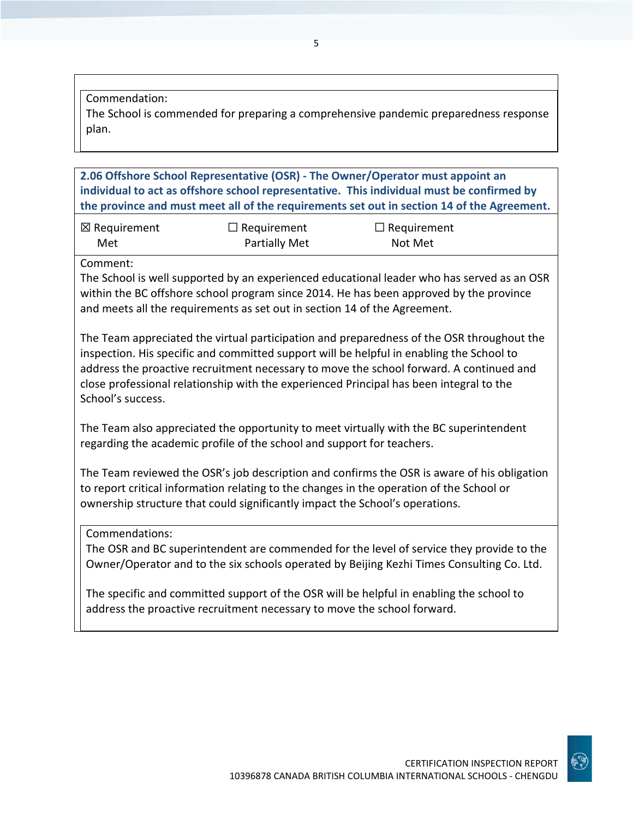#### Commendation:

The School is commended for preparing a comprehensive pandemic preparedness response plan.

**2.06 Offshore School Representative (OSR) - The Owner/Operator must appoint an individual to act as offshore school representative. This individual must be confirmed by the province and must meet all of the requirements set out in section 14 of the Agreement.**

| ⊠ Requirement | $\Box$ Requirement   | $\Box$ Requirement |
|---------------|----------------------|--------------------|
| Met           | <b>Partially Met</b> | Not Met            |

Comment:

The School is well supported by an experienced educational leader who has served as an OSR within the BC offshore school program since 2014. He has been approved by the province and meets all the requirements as set out in section 14 of the Agreement.

The Team appreciated the virtual participation and preparedness of the OSR throughout the inspection. His specific and committed support will be helpful in enabling the School to address the proactive recruitment necessary to move the school forward. A continued and close professional relationship with the experienced Principal has been integral to the School's success.

The Team also appreciated the opportunity to meet virtually with the BC superintendent regarding the academic profile of the school and support for teachers.

The Team reviewed the OSR's job description and confirms the OSR is aware of his obligation to report critical information relating to the changes in the operation of the School or ownership structure that could significantly impact the School's operations.

Commendations:

The OSR and BC superintendent are commended for the level of service they provide to the Owner/Operator and to the six schools operated by Beijing Kezhi Times Consulting Co. Ltd.

The specific and committed support of the OSR will be helpful in enabling the school to address the proactive recruitment necessary to move the school forward.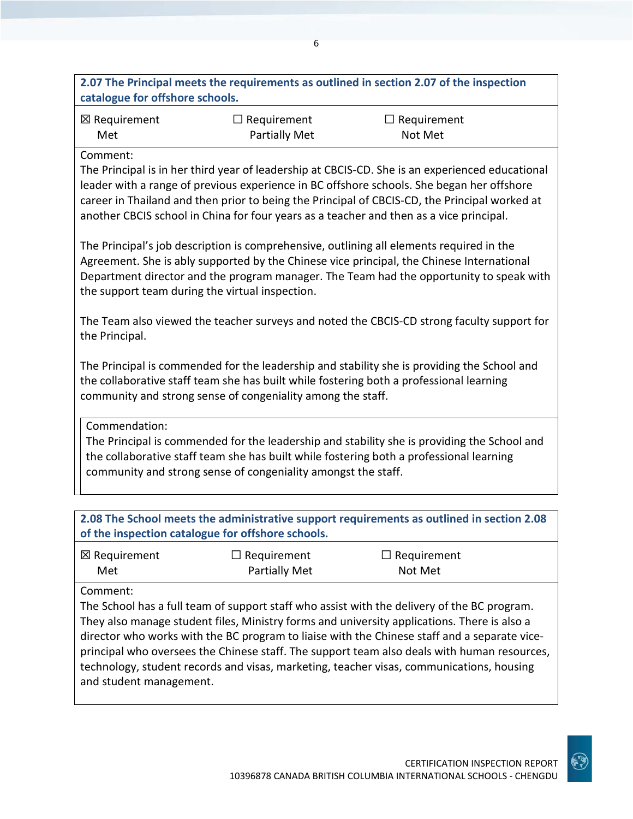**2.07 The Principal meets the requirements as outlined in section 2.07 of the inspection catalogue for offshore schools.**

| ⊠ Requirement | $\Box$ Requirement   | $\Box$ Requirement |
|---------------|----------------------|--------------------|
| Met           | <b>Partially Met</b> | Not Met            |

#### Comment:

The Principal is in her third year of leadership at CBCIS-CD. She is an experienced educational leader with a range of previous experience in BC offshore schools. She began her offshore career in Thailand and then prior to being the Principal of CBCIS-CD, the Principal worked at another CBCIS school in China for four years as a teacher and then as a vice principal.

The Principal's job description is comprehensive, outlining all elements required in the Agreement. She is ably supported by the Chinese vice principal, the Chinese International Department director and the program manager. The Team had the opportunity to speak with the support team during the virtual inspection.

The Team also viewed the teacher surveys and noted the CBCIS-CD strong faculty support for the Principal.

The Principal is commended for the leadership and stability she is providing the School and the collaborative staff team she has built while fostering both a professional learning community and strong sense of congeniality among the staff.

Commendation:

The Principal is commended for the leadership and stability she is providing the School and the collaborative staff team she has built while fostering both a professional learning community and strong sense of congeniality amongst the staff.

**2.08 The School meets the administrative support requirements as outlined in section 2.08 of the inspection catalogue for offshore schools.**

| $\boxtimes$ Requirement | $\Box$ Requirement   | $\Box$ Requirement |
|-------------------------|----------------------|--------------------|
| Met                     | <b>Partially Met</b> | Not Met            |

Comment:

The School has a full team of support staff who assist with the delivery of the BC program. They also manage student files, Ministry forms and university applications. There is also a director who works with the BC program to liaise with the Chinese staff and a separate viceprincipal who oversees the Chinese staff. The support team also deals with human resources, technology, student records and visas, marketing, teacher visas, communications, housing and student management.

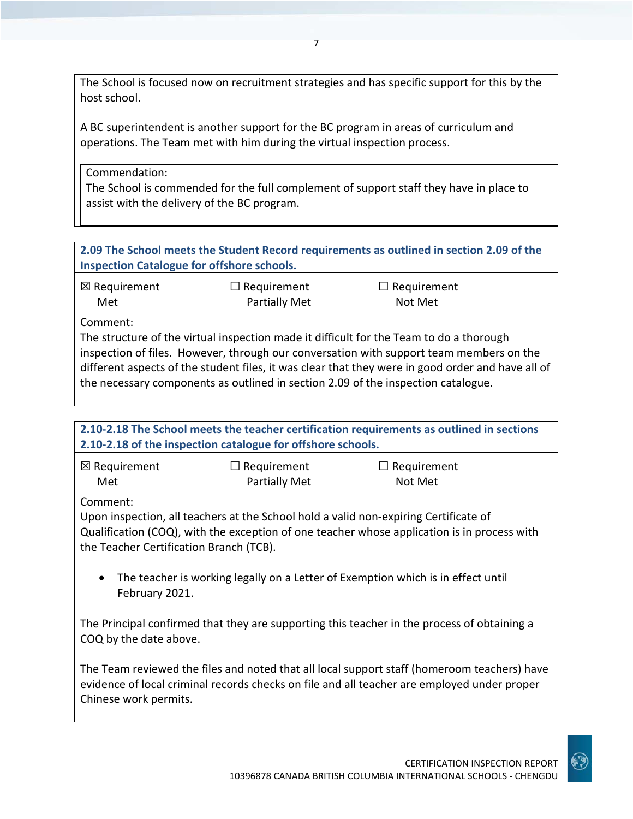The School is focused now on recruitment strategies and has specific support for this by the host school.

A BC superintendent is another support for the BC program in areas of curriculum and operations. The Team met with him during the virtual inspection process.

Commendation:

The School is commended for the full complement of support staff they have in place to assist with the delivery of the BC program.

**2.09 The School meets the Student Record requirements as outlined in section 2.09 of the Inspection Catalogue for offshore schools.**

| $\boxtimes$ Requirement | $\Box$ Requirement                                                                      | $\Box$ Requirement |
|-------------------------|-----------------------------------------------------------------------------------------|--------------------|
| Met                     | Partially Met                                                                           | Not Met            |
| Comment:                | The structure of the virtual inspection made it difficult for the Team to do a thorough |                    |

inspection of files. However, through our conversation with support team members on the different aspects of the student files, it was clear that they were in good order and have all of the necessary components as outlined in section 2.09 of the inspection catalogue.

|                                                     | 2.10-2.18 of the inspection catalogue for offshore schools. | 2.10-2.18 The School meets the teacher certification requirements as outlined in sections                                                                                                  |  |
|-----------------------------------------------------|-------------------------------------------------------------|--------------------------------------------------------------------------------------------------------------------------------------------------------------------------------------------|--|
| $\boxtimes$ Requirement<br>Met                      | $\Box$ Requirement<br><b>Partially Met</b>                  | $\Box$ Requirement<br>Not Met                                                                                                                                                              |  |
| Comment:<br>the Teacher Certification Branch (TCB). |                                                             | Upon inspection, all teachers at the School hold a valid non-expiring Certificate of<br>Qualification (COQ), with the exception of one teacher whose application is in process with        |  |
| $\bullet$<br>February 2021.                         |                                                             | The teacher is working legally on a Letter of Exemption which is in effect until                                                                                                           |  |
| COQ by the date above.                              |                                                             | The Principal confirmed that they are supporting this teacher in the process of obtaining a                                                                                                |  |
| Chinese work permits.                               |                                                             | The Team reviewed the files and noted that all local support staff (homeroom teachers) have<br>evidence of local criminal records checks on file and all teacher are employed under proper |  |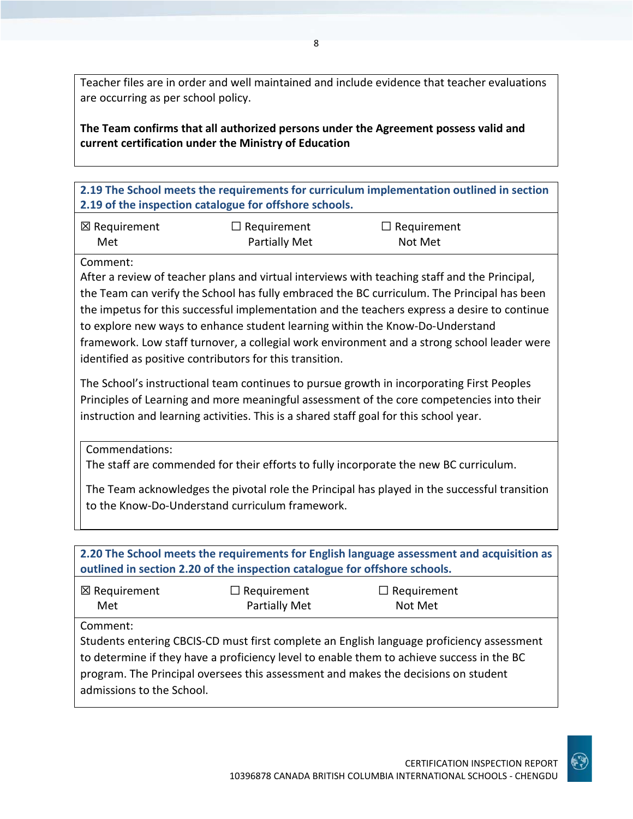Teacher files are in order and well maintained and include evidence that teacher evaluations are occurring as per school policy.

**The Team confirms that all authorized persons under the Agreement possess valid and current certification under the Ministry of Education**

**2.19 The School meets the requirements for curriculum implementation outlined in section 2.19 of the inspection catalogue for offshore schools.**

| ⊠ Requirement | $\Box$ Requirement   | $\Box$ Requirement |
|---------------|----------------------|--------------------|
| Met           | <b>Partially Met</b> | Not Met            |

Comment:

After a review of teacher plans and virtual interviews with teaching staff and the Principal, the Team can verify the School has fully embraced the BC curriculum. The Principal has been the impetus for this successful implementation and the teachers express a desire to continue to explore new ways to enhance student learning within the Know-Do-Understand framework. Low staff turnover, a collegial work environment and a strong school leader were identified as positive contributors for this transition.

The School's instructional team continues to pursue growth in incorporating First Peoples Principles of Learning and more meaningful assessment of the core competencies into their instruction and learning activities. This is a shared staff goal for this school year.

Commendations:

The staff are commended for their efforts to fully incorporate the new BC curriculum.

The Team acknowledges the pivotal role the Principal has played in the successful transition to the Know-Do-Understand curriculum framework.

| 2.20 The School meets the requirements for English language assessment and acquisition as<br>outlined in section 2.20 of the inspection catalogue for offshore schools. |                                     |                                                                                                                                                                                                                                                                              |  |
|-------------------------------------------------------------------------------------------------------------------------------------------------------------------------|-------------------------------------|------------------------------------------------------------------------------------------------------------------------------------------------------------------------------------------------------------------------------------------------------------------------------|--|
| ⊠ Requirement<br>Met                                                                                                                                                    | $\Box$ Requirement<br>Partially Met | $\Box$ Requirement<br>Not Met                                                                                                                                                                                                                                                |  |
| Comment:<br>admissions to the School.                                                                                                                                   |                                     | Students entering CBCIS-CD must first complete an English language proficiency assessment<br>to determine if they have a proficiency level to enable them to achieve success in the BC<br>program. The Principal oversees this assessment and makes the decisions on student |  |

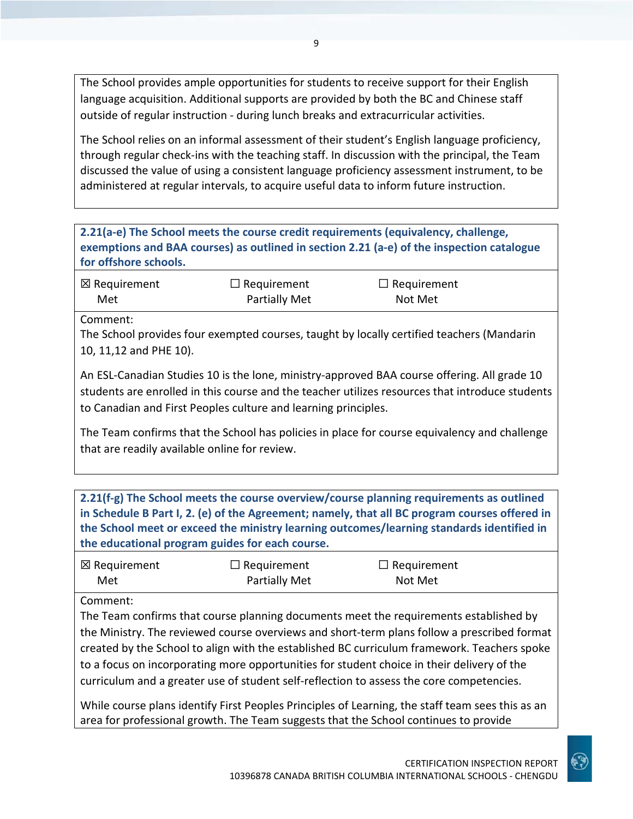The School provides ample opportunities for students to receive support for their English language acquisition. Additional supports are provided by both the BC and Chinese staff outside of regular instruction - during lunch breaks and extracurricular activities.

The School relies on an informal assessment of their student's English language proficiency, through regular check-ins with the teaching staff. In discussion with the principal, the Team discussed the value of using a consistent language proficiency assessment instrument, to be administered at regular intervals, to acquire useful data to inform future instruction.

**2.21(a-e) The School meets the course credit requirements (equivalency, challenge, exemptions and BAA courses) as outlined in section 2.21 (a-e) of the inspection catalogue for offshore schools.**

| $\boxtimes$ Requirement | $\Box$ Requirement   | $\Box$ Requirement |
|-------------------------|----------------------|--------------------|
| Met                     | <b>Partially Met</b> | Not Met            |

Comment:

The School provides four exempted courses, taught by locally certified teachers (Mandarin 10, 11,12 and PHE 10).

An ESL-Canadian Studies 10 is the lone, ministry-approved BAA course offering. All grade 10 students are enrolled in this course and the teacher utilizes resources that introduce students to Canadian and First Peoples culture and learning principles.

The Team confirms that the School has policies in place for course equivalency and challenge that are readily available online for review.

**2.21(f-g) The School meets the course overview/course planning requirements as outlined in Schedule B Part I, 2. (e) of the Agreement; namely, that all BC program courses offered in the School meet or exceed the ministry learning outcomes/learning standards identified in the educational program guides for each course.**

| ⊠ Requirement | $\Box$ Requirement   | $\Box$ Requirement |
|---------------|----------------------|--------------------|
| Met           | <b>Partially Met</b> | Not Met            |

Comment:

The Team confirms that course planning documents meet the requirements established by the Ministry. The reviewed course overviews and short-term plans follow a prescribed format created by the School to align with the established BC curriculum framework. Teachers spoke to a focus on incorporating more opportunities for student choice in their delivery of the curriculum and a greater use of student self-reflection to assess the core competencies.

While course plans identify First Peoples Principles of Learning, the staff team sees this as an area for professional growth. The Team suggests that the School continues to provide

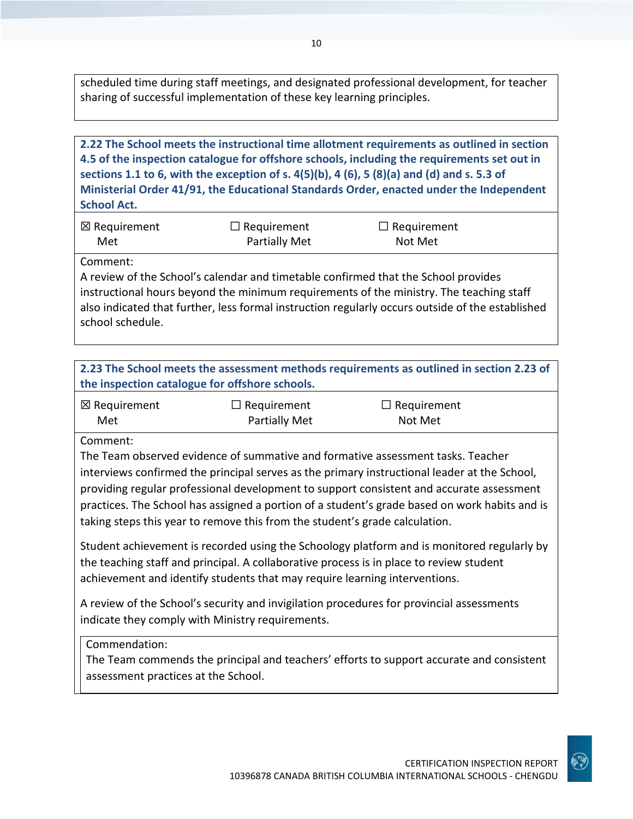scheduled time during staff meetings, and designated professional development, for teacher sharing of successful implementation of these key learning principles.

# **2.22 The School meets the instructional time allotment requirements as outlined in section 4.5 of the inspection catalogue for offshore schools, including the requirements set out in sections 1.1 to 6, with the exception of s. 4(5)(b), 4 (6), 5 (8)(a) and (d) and s. 5.3 of Ministerial Order 41/91, the Educational Standards Order, enacted under the Independent School Act.**

| ⊠ Requirement | $\Box$ Requirement | $\Box$ Requirement |
|---------------|--------------------|--------------------|
| Met           | Partially Met      | Not Met            |

Comment:

A review of the School's calendar and timetable confirmed that the School provides instructional hours beyond the minimum requirements of the ministry. The teaching staff also indicated that further, less formal instruction regularly occurs outside of the established school schedule.

| 2.23 The School meets the assessment methods requirements as outlined in section 2.23 of |
|------------------------------------------------------------------------------------------|
| the inspection catalogue for offshore schools.                                           |

| ⊠ Requirement | $\Box$ Requirement   | $\Box$ Requirement |
|---------------|----------------------|--------------------|
| Met           | <b>Partially Met</b> | Not Met            |

Comment:

The Team observed evidence of summative and formative assessment tasks. Teacher interviews confirmed the principal serves as the primary instructional leader at the School, providing regular professional development to support consistent and accurate assessment practices. The School has assigned a portion of a student's grade based on work habits and is taking steps this year to remove this from the student's grade calculation.

Student achievement is recorded using the Schoology platform and is monitored regularly by the teaching staff and principal. A collaborative process is in place to review student achievement and identify students that may require learning interventions.

A review of the School's security and invigilation procedures for provincial assessments indicate they comply with Ministry requirements.

Commendation:

The Team commends the principal and teachers' efforts to support accurate and consistent assessment practices at the School.

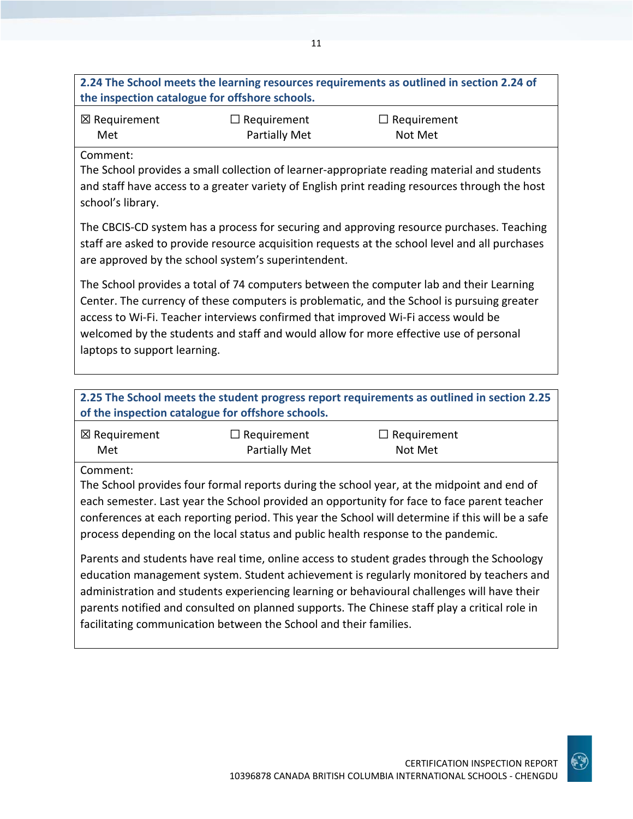# **2.24 The School meets the learning resources requirements as outlined in section 2.24 of the inspection catalogue for offshore schools.**

| ⊠ Requirement | $\Box$ Requirement | $\Box$ Requirement |
|---------------|--------------------|--------------------|
| Met           | Partially Met      | Not Met            |

## Comment:

The School provides a small collection of learner-appropriate reading material and students and staff have access to a greater variety of English print reading resources through the host school's library.

The CBCIS-CD system has a process for securing and approving resource purchases. Teaching staff are asked to provide resource acquisition requests at the school level and all purchases are approved by the school system's superintendent.

The School provides a total of 74 computers between the computer lab and their Learning Center. The currency of these computers is problematic, and the School is pursuing greater access to Wi-Fi. Teacher interviews confirmed that improved Wi-Fi access would be welcomed by the students and staff and would allow for more effective use of personal laptops to support learning.

**2.25 The School meets the student progress report requirements as outlined in section 2.25 of the inspection catalogue for offshore schools.**

| ⊠ Requirement | $\Box$ Requirement   | $\Box$ Requirement |
|---------------|----------------------|--------------------|
| Met           | <b>Partially Met</b> | Not Met            |

Comment:

The School provides four formal reports during the school year, at the midpoint and end of each semester. Last year the School provided an opportunity for face to face parent teacher conferences at each reporting period. This year the School will determine if this will be a safe process depending on the local status and public health response to the pandemic.

Parents and students have real time, online access to student grades through the Schoology education management system. Student achievement is regularly monitored by teachers and administration and students experiencing learning or behavioural challenges will have their parents notified and consulted on planned supports. The Chinese staff play a critical role in facilitating communication between the School and their families.

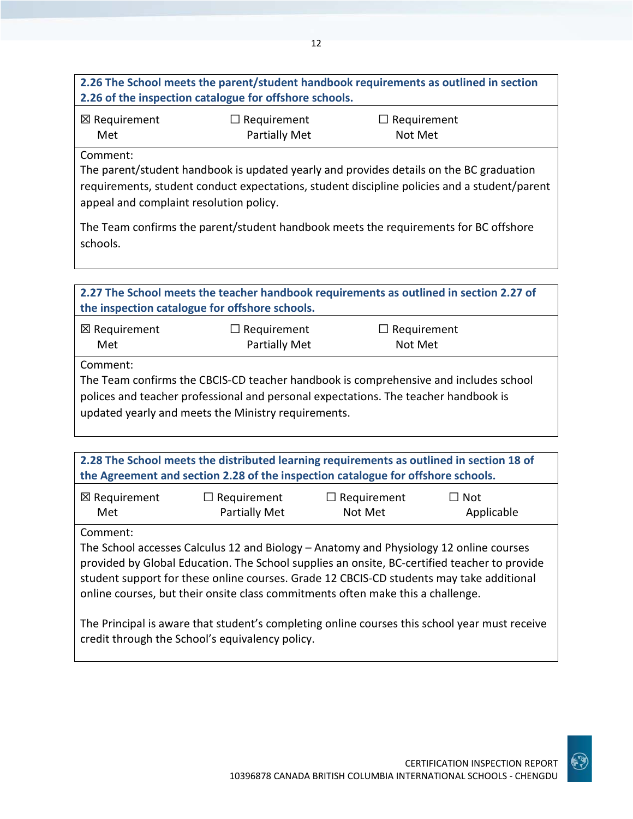# **2.26 The School meets the parent/student handbook requirements as outlined in section 2.26 of the inspection catalogue for offshore schools.**

| ⊠ Requirement | $\Box$ Requirement | $\Box$ Requirement |
|---------------|--------------------|--------------------|
| Met           | Partially Met      | Not Met            |

Comment:

The parent/student handbook is updated yearly and provides details on the BC graduation requirements, student conduct expectations, student discipline policies and a student/parent appeal and complaint resolution policy.

The Team confirms the parent/student handbook meets the requirements for BC offshore schools.

| 2.27 The School meets the teacher handbook requirements as outlined in section 2.27 of<br>the inspection catalogue for offshore schools.                                                                                                       |                                     |                               |  |
|------------------------------------------------------------------------------------------------------------------------------------------------------------------------------------------------------------------------------------------------|-------------------------------------|-------------------------------|--|
| $\boxtimes$ Requirement<br>Met                                                                                                                                                                                                                 | $\Box$ Requirement<br>Partially Met | $\Box$ Requirement<br>Not Met |  |
| Comment:<br>The Team confirms the CBCIS-CD teacher handbook is comprehensive and includes school<br>polices and teacher professional and personal expectations. The teacher handbook is<br>updated yearly and meets the Ministry requirements. |                                     |                               |  |

**2.28 The School meets the distributed learning requirements as outlined in section 18 of the Agreement and section 2.28 of the inspection catalogue for offshore schools.**

| $\boxtimes$ Requirement | $\Box$ Requirement | $\Box$ Requirement | $\Box$ Not |
|-------------------------|--------------------|--------------------|------------|
| Met                     | Partially Met      | Not Met            | Applicable |

Comment:

The School accesses Calculus 12 and Biology – Anatomy and Physiology 12 online courses provided by Global Education. The School supplies an onsite, BC-certified teacher to provide student support for these online courses. Grade 12 CBCIS-CD students may take additional online courses, but their onsite class commitments often make this a challenge.

The Principal is aware that student's completing online courses this school year must receive credit through the School's equivalency policy.